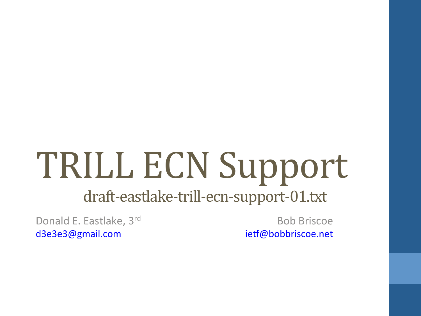## TRILL ECN Support

#### draft-eastlake-trill-ecn-support-01.txt

Donald E. Eastlake, 3rd d3e3e3@gmail.com

Bob Briscoe ietf@bobbriscoe.net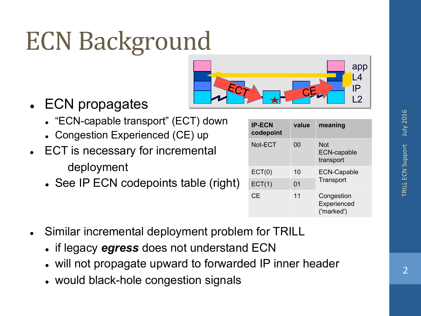## **ECN Background**



- ECN propagates
	- "ECN-capable transport" (ECT) down
	- Congestion Experienced (CE) up
- ECT is necessary for incremental deployment
	- . See IP ECN codepoints table (right)

| <b>IP-ECN</b><br>codepoint | value | meaning                                 |  |
|----------------------------|-------|-----------------------------------------|--|
| Not-ECT                    | 00    | Not<br><b>ECN-capable</b><br>transport  |  |
| ECT(0)                     | 10    | <b>ECN-Capable</b><br>Transport         |  |
| ECT(1)                     | 01    |                                         |  |
| <b>CE</b>                  | 11    | Congestion<br>Experienced<br>('marked') |  |

- Similar incremental deployment problem for TRILL
	- <sup>l</sup> if legacy *egress* does not understand ECN
	- . will not propagate upward to forwarded IP inner header
	- would black-hole congestion signals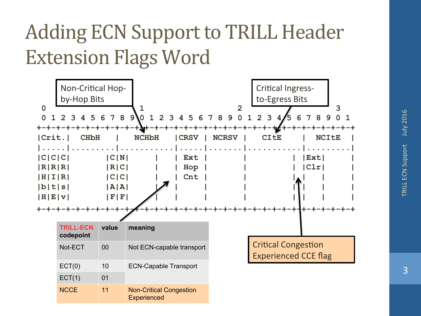#### Adding ECN Support to TRILL Header **Extension Flags Word**

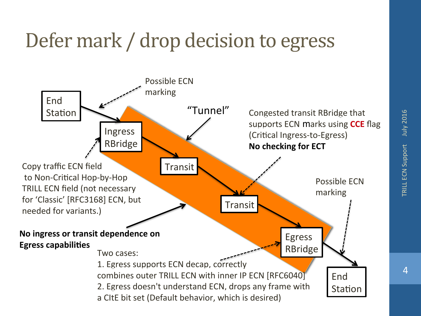#### Defer mark / drop decision to egress

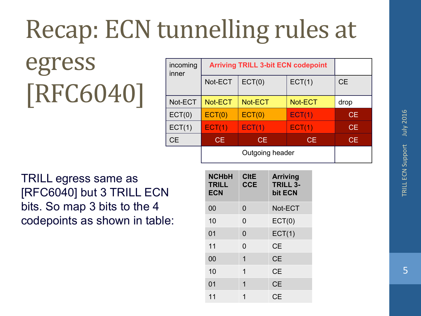## Recap: ECN tunnelling rules at

egress [RFC6040]

| incoming<br>inner | <b>Arriving TRILL 3-bit ECN codepoint</b> |         |         |           |
|-------------------|-------------------------------------------|---------|---------|-----------|
|                   | Not-ECT                                   | ECT(0)  | ECT(1)  | <b>CE</b> |
| Not-ECT           | Not-ECT                                   | Not-ECT | Not-ECT | drop      |
| ECT(0)            | ECT(0)                                    | ECT(0)  | ECT(1)  | CE.       |
| ECT(1)            | ECT(1)                                    | ECT(1)  | ECT(1)  | CE.       |
| <b>CE</b>         | CE.                                       | CE.     | CE.     | CE.       |
|                   | Outgoing header                           |         |         |           |

TRILL egress same as [RFC6040] but 3 TRILL ECN bits. So map 3 bits to the 4 codepoints as shown in table:

| <b>NCHbH</b><br><b>TRILL</b><br><b>ECN</b> | <b>CItE</b><br><b>CCE</b> | <b>Arriving</b><br><b>TRILL 3-</b><br>bit ECN |
|--------------------------------------------|---------------------------|-----------------------------------------------|
| 00                                         | 0                         | Not-ECT                                       |
| 10                                         | 0                         | ECT(0)                                        |
| 01                                         | 0                         | ECT(1)                                        |
| 11                                         | 0                         | <b>CE</b>                                     |
| 00                                         | 1                         | <b>CE</b>                                     |
| 10                                         | 1                         | <b>CE</b>                                     |
| 01                                         | 1                         | <b>CE</b>                                     |
| 11                                         |                           | <b>CE</b>                                     |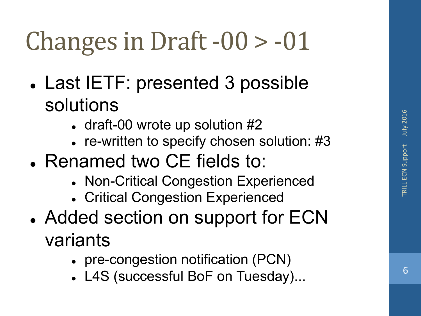## Changes in Draft  $-00 > -01$

- Last IETF: presented 3 possible solutions
	- $\cdot$  draft-00 wrote up solution #2
	- $\cdot$  re-written to specify chosen solution: #3
- Renamed two CE fields to:
	- Non-Critical Congestion Experienced
	- Critical Congestion Experienced
- Added section on support for ECN variants
	- pre-congestion notification (PCN)
	- L4S (successful BoF on Tuesday)...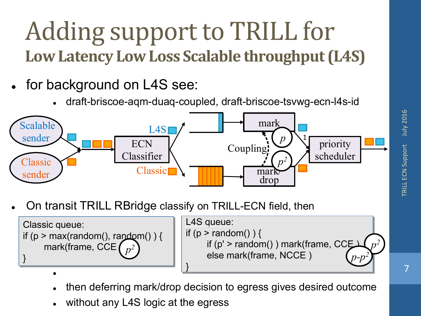#### Adding support to TRILL for Low Latency Low Loss Scalable throughput (L4S)

- for background on L4S see:
	- <sup>l</sup> draft-briscoe-aqm-duaq-coupled, draft-briscoe-tsvwg-ecn-l4s-id



On transit TRILL RBridge classify on TRILL-ECN field, then



- <sup>l</sup> then deferring mark/drop decision to egress gives desired outcome
- without any L4S logic at the egress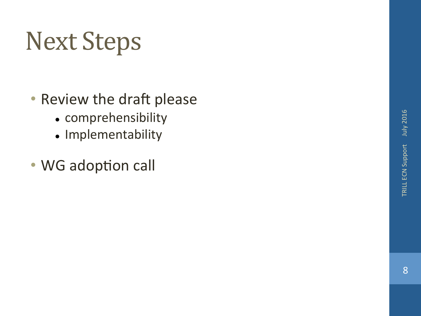## **Next Steps**

- Review the draft please
	- comprehensibility
	- Implementability
- WG adoption call